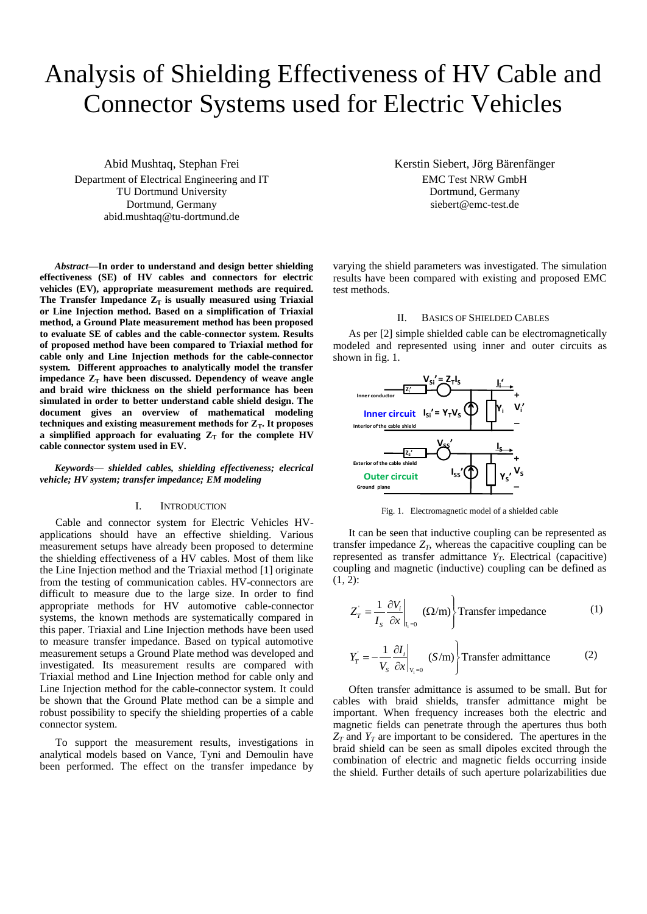# Analysis of Shielding Effectiveness of HV Cable and Connector Systems used for Electric Vehicles

Abid Mushtaq, Stephan Frei Department of Electrical Engineering and IT TU Dortmund University Dortmund, Germany abid.mushtaq@tu-dortmund.de

*Abstract***—In order to understand and design better shielding effectiveness (SE) of HV cables and connectors for electric vehicles (EV), appropriate measurement methods are required.** The Transfer Impedance  $Z_T$  is usually measured using Triaxial **or Line Injection method. Based on a simplification of Triaxial method, a Ground Plate measurement method has been proposed to evaluate SE of cables and the cable-connector system. Results of proposed method have been compared to Triaxial method for cable only and Line Injection methods for the cable-connector system. Different approaches to analytically model the transfer impedance Z<sup>T</sup> have been discussed. Dependency of weave angle and braid wire thickness on the shield performance has been simulated in order to better understand cable shield design. The document gives an overview of mathematical modeling**  techniques and existing measurement methods for  $Z_T$ . It proposes **a** simplified approach for evaluating  $Z_T$  for the complete HV **cable connector system used in EV.**

*Keywords— shielded cables, shielding effectiveness; elecrical vehicle; HV system; transfer impedance; EM modeling*

# I. INTRODUCTION

Cable and connector system for Electric Vehicles HVapplications should have an effective shielding. Various measurement setups have already been proposed to determine the shielding effectiveness of a HV cables. Most of them like the Line Injection method and the Triaxial method [1] originate from the testing of communication cables. HV-connectors are difficult to measure due to the large size. In order to find appropriate methods for HV automotive cable-connector systems, the known methods are systematically compared in this paper. Triaxial and Line Injection methods have been used to measure transfer impedance. Based on typical automotive measurement setups a Ground Plate method was developed and investigated. Its measurement results are compared with Triaxial method and Line Injection method for cable only and Line Injection method for the cable-connector system. It could be shown that the Ground Plate method can be a simple and robust possibility to specify the shielding properties of a cable connector system.

To support the measurement results, investigations in analytical models based on Vance, Tyni and Demoulin have been performed. The effect on the transfer impedance by Kerstin Siebert, Jörg Bärenfänger EMC Test NRW GmbH Dortmund, Germany siebert@emc-test.de

varying the shield parameters was investigated. The simulation results have been compared with existing and proposed EMC test methods.

## II. BASICS OF SHIELDED CABLES

As per [2] simple shielded cable can be electromagnetically modeled and represented using inner and outer circuits as shown in fig. 1.



Fig. 1. Electromagnetic model of a shielded cable

It can be seen that inductive coupling can be represented as transfer impedance  $Z_T$ , whereas the capacitive coupling can be represented as transfer admittance *YT*. Electrical (capacitive) coupling and magnetic (inductive) coupling can be defined as  $(1, 2)$ :

$$
Z_T = \frac{1}{I_s} \frac{\partial V_i}{\partial x}\Big|_{I_i=0} \text{ } (\Omega/m) \text{ Transfer impedance} \tag{1}
$$

$$
Y_T = -\frac{1}{V_s} \frac{\partial I_i}{\partial x}\Big|_{V_i=0} (S/m) \Big\} \text{Transfer admittance} \tag{2}
$$

Often transfer admittance is assumed to be small. But for cables with braid shields, transfer admittance might be important. When frequency increases both the electric and magnetic fields can penetrate through the apertures thus both  $Z_T$  and  $Y_T$  are important to be considered. The apertures in the braid shield can be seen as small dipoles excited through the combination of electric and magnetic fields occurring inside the shield. Further details of such aperture polarizabilities due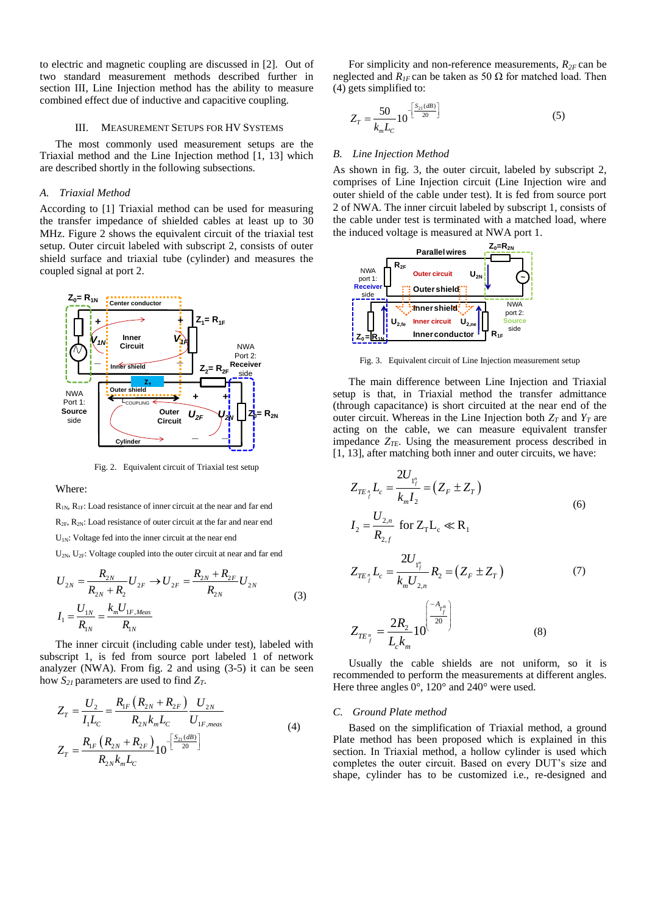to electric and magnetic coupling are discussed in [2]. Out of two standard measurement methods described further in section III, Line Injection method has the ability to measure combined effect due of inductive and capacitive coupling.

### III. MEASUREMENT SETUPS FOR HV SYSTEMS

The most commonly used measurement setups are the Triaxial method and the Line Injection method [1, 13] which are described shortly in the following subsections.

# *A. Triaxial Method*

According to [1] Triaxial method can be used for measuring the transfer impedance of shielded cables at least up to 30 MHz. Figure 2 shows the equivalent circuit of the triaxial test setup. Outer circuit labeled with subscript 2, consists of outer shield surface and triaxial tube (cylinder) and measures the coupled signal at port 2.



Fig. 2. Equivalent circuit of Triaxial test setup

Where:

R1N, R1F: Load resistance of inner circuit at the near and far end  $R_{2F}$ ,  $R_{2N}$ : Load resistance of outer circuit at the far and near end U<sub>1N</sub>: Voltage fed into the inner circuit at the near end

$$
U_{2N}, U_{2F}: \text{ Voltage coupled into the outer circuit at near and far end}
$$
\n
$$
U_{2N} = \frac{R_{2N}}{R_{2N} + R_2} U_{2F} \rightarrow U_{2F} = \frac{R_{2N} + R_{2F}}{R_{2N}} U_{2N}
$$
\n
$$
I_1 = \frac{U_{1N}}{R_{1N}} = \frac{k_m U_{1F, Meas}}{R_{1N}}
$$
\n(3)

The inner circuit (including cable under test), labeled with subscript 1, is fed from source port labeled 1 of network analyzer (NWA). From fig. 2 and using (3-5) it can be seen

how 
$$
S_{2I}
$$
 parameters are used to find  $Z_T$ .  
\n
$$
Z_T = \frac{U_2}{I_1 L_C} = \frac{R_{1F} (R_{2N} + R_{2F})}{R_{2N} k_m L_C} \frac{U_{2N}}{U_{1F,meas}}
$$
\n
$$
Z_T = \frac{R_{1F} (R_{2N} + R_{2F})}{R_{2N} k_m L_C} 10^{-\left[\frac{S_{21}(dB)}{20}\right]}
$$
\n(4)

For simplicity and non-reference measurements,  $R_{2F}$  can be neglected and  $R$ <sub>*IF*</sub> can be taken as 50 Ω for matched load. Then (4) gets simplified to:

$$
Z_T = \frac{50}{k_m L_C} 10^{-\left[\frac{S_{21}(dB)}{20}\right]}
$$
 (5)

#### *B. Line Injection Method*

As shown in fig. 3, the outer circuit, labeled by subscript 2, comprises of Line Injection circuit (Line Injection wire and outer shield of the cable under test). It is fed from source port 2 of NWA. The inner circuit labeled by subscript 1, consists of the cable under test is terminated with a matched load, where the induced voltage is measured at NWA port 1.



Fig. 3. Equivalent circuit of Line Injection measurement setup

The main difference between Line Injection and Triaxial setup is that, in Triaxial method the transfer admittance (through capacitance) is short circuited at the near end of the outer circuit. Whereas in the Line Injection both  $Z_T$  and  $Y_T$  are acting on the cable, we can measure equivalent transfer impedance  $Z_{TE}$ . Using the measurement process described in [1, 13], after matching both inner and outer circuits, we have:

$$
Z_{TE_{\frac{r}{f}}}L_{c} = \frac{2U_{\frac{r}{f}}}{k_{m}I_{2}} = (Z_{F} \pm Z_{T})
$$
\n
$$
I_{2} = \frac{U_{2,n}}{R_{2,f}} \text{ for } Z_{T}L_{c} \ll R_{1}
$$
\n
$$
Z_{TE_{\frac{r}{f}}}L_{c} = \frac{2U_{\frac{r}{f}}}{k_{m}U_{2,n}}R_{2} = (Z_{F} \pm Z_{T})
$$
\n(7)

$$
Z_{TE_{j}^{n}} = \frac{2R_{2}}{L_{c}k_{m}} 10^{\left(\frac{-A_{T_{j}^{n}}}{20}\right)}
$$
(8)

Usually the cable shields are not uniform, so it is recommended to perform the measurements at different angles. Here three angles 0°, 120° and 240° were used.

## *C. Ground Plate method*

Based on the simplification of Triaxial method, a ground Plate method has been proposed which is explained in this section. In Triaxial method, a hollow cylinder is used which completes the outer circuit. Based on every DUT's size and shape, cylinder has to be customized i.e., re-designed and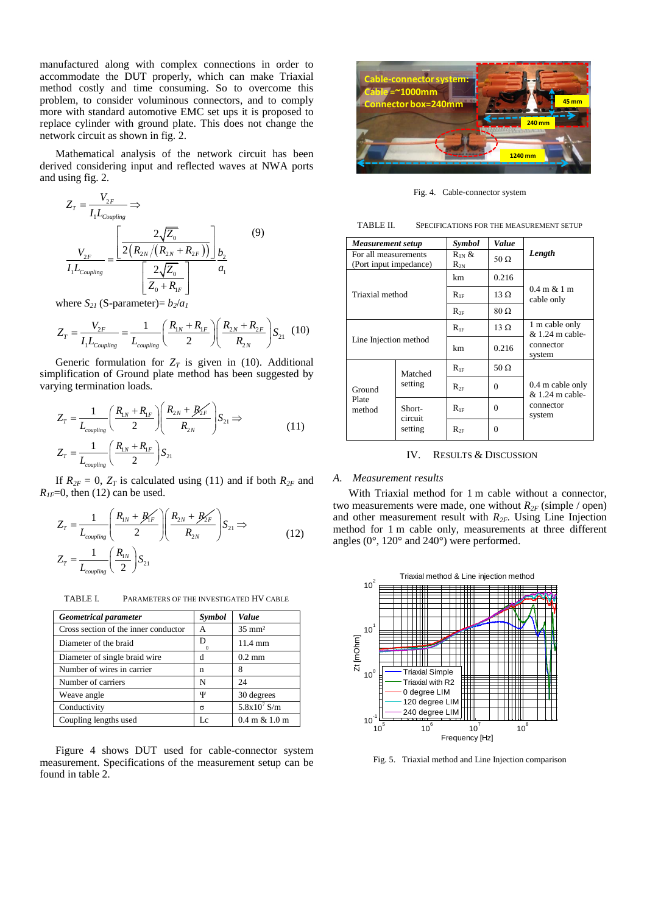manufactured along with complex connections in order to accommodate the DUT properly, which can make Triaxial method costly and time consuming. So to overcome this problem, to consider voluminous connectors, and to comply more with standard automotive EMC set ups it is proposed to replace cylinder with ground plate. This does not change the network circuit as shown in fig. 2.

Mathematical analysis of the network circuit has been derived considering input and reflected waves at NWA ports and using fig. 2.

$$
Z_{T} = \frac{V_{2F}}{I_{1}L_{coupling}} \Rightarrow
$$
  

$$
\frac{V_{2F}}{I_{1}L_{coupling}} = \frac{\left[\frac{2\sqrt{Z_{0}}}{2(R_{2N}/(R_{2N} + R_{2F}))}\right]_{b_{2}}}{\left[\frac{2\sqrt{Z_{0}}}{Z_{0} + R_{1F}}\right]} \times (9)
$$

 $\mathbf{v}$ 

where 
$$
S_{2I}
$$
 (S-parameter)=  $b_2/a_I$   
\n
$$
Z_T = \frac{V_{2F}}{I_1 L_{coupling}} = \frac{1}{L_{coupling}} \left(\frac{R_{1N} + R_{1F}}{2}\right) \left(\frac{R_{2N} + R_{2F}}{R_{2N}}\right) S_{21}
$$
 (10)

Generic formulation for  $Z_T$  is given in (10). Additional simplification of Ground plate method has been suggested by varying termination loads.

$$
Z_T = \frac{1}{L_{coupling}} \left( \frac{R_{1N} + R_{1F}}{2} \right) \left( \frac{R_{2N} + B_{2F}}{R_{2N}} \right) S_{21} \Rightarrow
$$
  

$$
Z_T = \frac{1}{L_{coupling}} \left( \frac{R_{1N} + R_{1F}}{2} \right) S_{21}
$$
 (11)

If  $R_{2F} = 0$ ,  $Z_T$  is calculated using (11) and if both  $R_{2F}$  and

$$
R_{IF}=0, \text{ then (12) can be used.}
$$
\n
$$
Z_T = \frac{1}{L_{coupling}} \left( \frac{R_{1N} + B_{1F}}{2} \right) \left( \frac{R_{2N} + B_{2F}}{R_{2N}} \right) S_{21} \Rightarrow
$$
\n
$$
Z_T = \frac{1}{L_{coupling}} \left( \frac{R_{1N}}{2} \right) S_{21}
$$
\n(12)

TABLE I. PARAMETERS OF THE INVESTIGATED HV CABLE

| <b>Geometrical parameter</b>         | Symbol        | Value                            |
|--------------------------------------|---------------|----------------------------------|
| Cross section of the inner conductor | А             | $35 \text{ mm}^2$                |
| Diameter of the braid                | D<br>$\Omega$ | $11.4 \text{ mm}$                |
| Diameter of single braid wire        | d             | $0.2 \text{ mm}$                 |
| Number of wires in carrier           | n             | 8                                |
| Number of carriers                   | N             | 24                               |
| Weave angle                          | Ψ             | 30 degrees                       |
| Conductivity                         | $\sigma$      | $5.8x10^7$ S/m                   |
| Coupling lengths used                | Iε            | $0.4 \text{ m} \& 1.0 \text{ m}$ |

Figure 4 shows DUT used for cable-connector system measurement. Specifications of the measurement setup can be found in table 2.



Fig. 4. Cable-connector system

TABLE II. SPECIFICATIONS FOR THE MEASUREMENT SETUP

| Measurement setup                              |                              | Symbol                 | Value        |                                                              |
|------------------------------------------------|------------------------------|------------------------|--------------|--------------------------------------------------------------|
| For all measurements<br>(Port input impedance) |                              | $R_{1N}$ &<br>$R_{2N}$ | 50 $\Omega$  | Length                                                       |
| Triaxial method                                |                              | km.                    | 0.216        | $0.4 \text{ m} \& 1 \text{ m}$<br>cable only                 |
|                                                |                              | $R_{\rm 1F}$           | $13 \Omega$  |                                                              |
|                                                |                              | $R_{2F}$               | $80\,\Omega$ |                                                              |
| Line Injection method                          |                              | $R_{1F}$               | $13 \Omega$  | 1 m cable only<br>$& 1.24$ m cable-<br>connector<br>system   |
|                                                |                              | km                     | 0.216        |                                                              |
| Ground<br>Plate<br>method                      | Matched<br>setting           | $R_{1F}$               | 50 $\Omega$  | 0.4 m cable only<br>$& 1.24$ m cable-<br>connector<br>system |
|                                                |                              | $R_{2F}$               | 0            |                                                              |
|                                                | Short-<br>circuit<br>setting | $R_{1F}$               | 0            |                                                              |
|                                                |                              | $R_{2F}$               | 0            |                                                              |

IV. RESULTS & DISCUSSION

#### *A. Measurement results*

With Triaxial method for 1 m cable without a connector, two measurements were made, one without  $R_{2F}$  (simple / open) and other measurement result with *R2F*. Using Line Injection method for 1 m cable only, measurements at three different angles (0°, 120° and 240°) were performed.



Fig. 5. Triaxial method and Line Injection comparison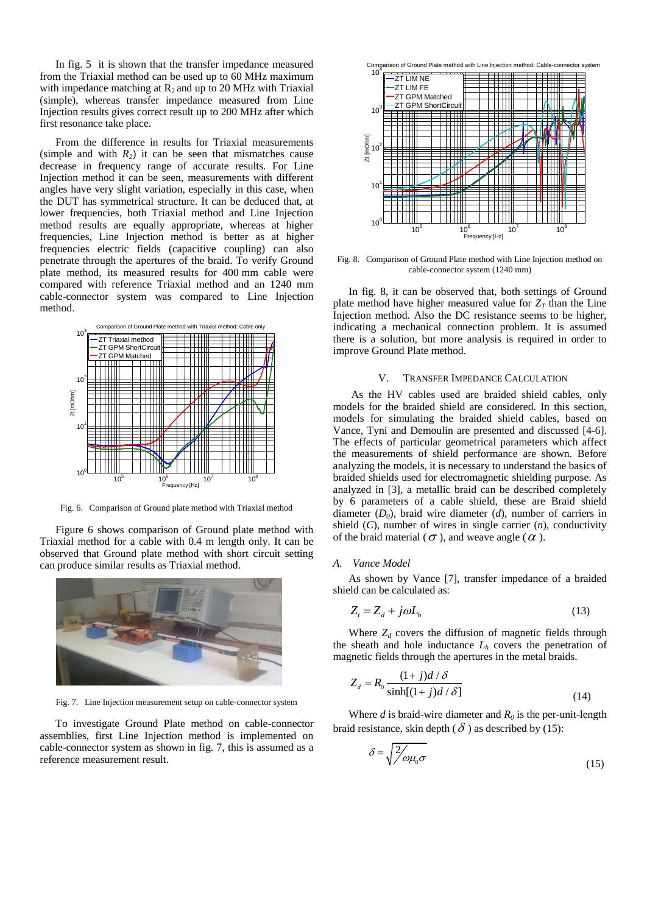In fig. 5 it is shown that the transfer impedance measured from the Triaxial method can be used up to 60 MHz maximum with impedance matching at  $R_2$  and up to 20 MHz with Triaxial (simple), whereas transfer impedance measured from Line Injection results gives correct result up to 200 MHz after which first resonance take place.

From the difference in results for Triaxial measurements (simple and with  $R_2$ ) it can be seen that mismatches cause decrease in frequency range of accurate results. For Line Injection method it can be seen, measurements with different angles have very slight variation, especially in this case, when the DUT has symmetrical structure. It can be deduced that, at lower frequencies, both Triaxial method and Line Injection method results are equally appropriate, whereas at higher frequencies, Line Injection method is better as at higher frequencies electric fields (capacitive coupling) can also penetrate through the apertures of the braid. To verify Ground plate method, its measured results for 400 mm cable were compared with reference Triaxial method and an 1240 mm cable-connector system was compared to Line Injection method.



Fig. 6. Comparison of Ground plate method with Triaxial method

Figure 6 shows comparison of Ground plate method with Triaxial method for a cable with 0.4 m length only. It can be observed that Ground plate method with short circuit setting can produce similar results as Triaxial method.



Fig. 7. Line Injection measurement setup on cable-connector system

To investigate Ground Plate method on cable-connector assemblies, first Line Injection method is implemented on cable-connector system as shown in fig. 7, this is assumed as a reference measurement result.



Fig. 8. Comparison of Ground Plate method with Line Injection method on cable-connector system (1240 mm)

In fig. 8, it can be observed that, both settings of Ground plate method have higher measured value for  $Z_T$  than the Line Injection method. Also the DC resistance seems to be higher, indicating a mechanical connection problem. It is assumed there is a solution, but more analysis is required in order to improve Ground Plate method.

# V. TRANSFER IMPEDANCE CALCULATION

As the HV cables used are braided shield cables, only models for the braided shield are considered. In this section, models for simulating the braided shield cables, based on Vance, Tyni and Demoulin are presented and discussed [4-6]. The effects of particular geometrical parameters which affect the measurements of shield performance are shown. Before analyzing the models, it is necessary to understand the basics of braided shields used for electromagnetic shielding purpose. As analyzed in [3], a metallic braid can be described completely by 6 parameters of a cable shield, these are Braid shield diameter (*D0*), braid wire diameter (*d*), number of carriers in shield (*C*), number of wires in single carrier (*n*), conductivity of the braid material ( $\sigma$ ), and weave angle ( $\alpha$ ).

### *A. Vance Model*

As shown by Vance [7], transfer impedance of a braided shield can be calculated as:

$$
Z_t = Z_d + j\omega L_h \tag{13}
$$

Where  $Z_d$  covers the diffusion of magnetic fields through the sheath and hole inductance  $L_h$  covers the penetration of magnetic fields through the apertures in the metal braids.

$$
Z_d = R_0 \frac{(1+j)d/\delta}{\sinh[(1+j)d/\delta]}
$$
\n(14)

Where  $d$  is braid-wire diameter and  $R_0$  is the per-unit-length braid resistance, skin depth ( $\delta$ ) as described by (15):

$$
\delta = \sqrt{\frac{2}{\rho}} \rho \rho_0 \sigma \tag{15}
$$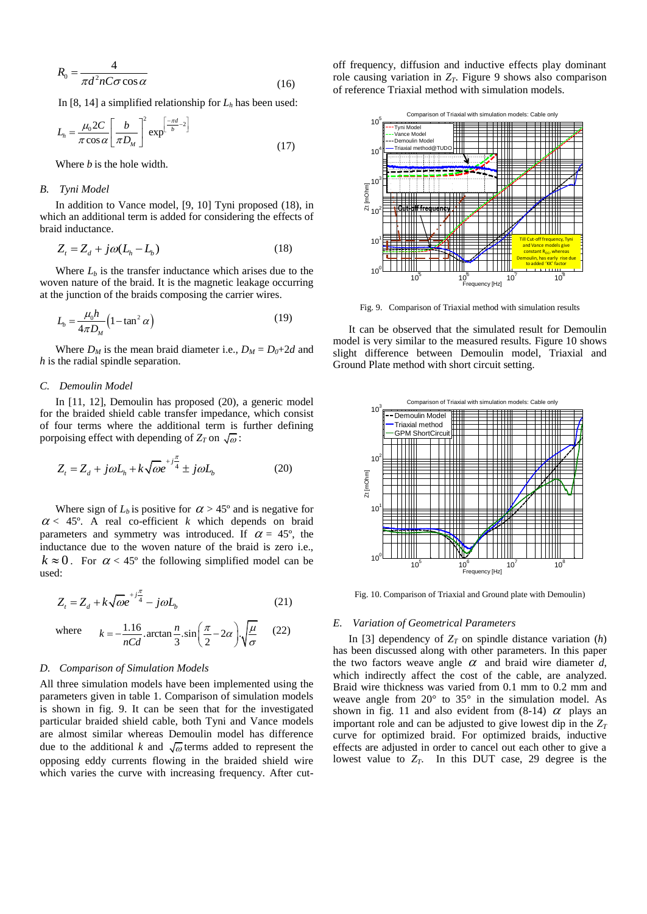$$
R_0 = \frac{4}{\pi d^2 n C \sigma \cos \alpha}
$$
 (16)

In [8, 14] a simplified relationship for  $L<sub>h</sub>$  has been used:

$$
L_h = \frac{\mu_0 2C}{\pi \cos \alpha} \left[ \frac{b}{\pi D_M} \right]^2 \exp^{\left[ \frac{-\pi d}{b} - 2 \right]}
$$
(17)

Where *b* is the hole width.

# *B. Tyni Model*

In addition to Vance model, [9, 10] Tyni proposed (18), in which an additional term is added for considering the effects of braid inductance.

$$
Z_t = Z_d + j\omega (L_h - L_b)
$$
 (18)

Where  $L_b$  is the transfer inductance which arises due to the woven nature of the braid. It is the magnetic leakage occurring at the junction of the braids composing the carrier wires.

$$
L_b = \frac{\mu_0 h}{4\pi D_M} \left( 1 - \tan^2 \alpha \right) \tag{19}
$$

Where  $D_M$  is the mean braid diameter i.e.,  $D_M = D_0 + 2d$  and *h* is the radial spindle separation.

# *C. Demoulin Model*

In [11, 12], Demoulin has proposed (20), a generic model for the braided shield cable transfer impedance, which consist of four terms where the additional term is further defining porpoising effect with depending of  $Z_T$  on  $\sqrt{\omega}$ :

$$
Z_t = Z_d + j\omega L_h + k\sqrt{\omega}e^{+j\frac{\pi}{4}} \pm j\omega L_b \tag{20}
$$

Where sign of  $L_b$  is positive for  $\alpha > 45^\circ$  and is negative for  $\alpha$  < 45°. A real co-efficient *k* which depends on braid parameters and symmetry was introduced. If  $\alpha = 45^{\circ}$ , the inductance due to the woven nature of the braid is zero i.e.,  $k \approx 0$ . For  $\alpha < 45^{\circ}$  the following simplified model can be used:

$$
Z_t = Z_d + k\sqrt{\omega}e^{+j\frac{\pi}{4}} - j\omega L_b
$$
 (21)

where 
$$
k = -\frac{1.16}{nCd} \cdot \arctan \frac{n}{3} \cdot \sin \left( \frac{\pi}{2} - 2\alpha \right) \cdot \sqrt{\frac{\mu}{\sigma}}
$$
 (22)

#### *D. Comparison of Simulation Models*

All three simulation models have been implemented using the parameters given in table 1. Comparison of simulation models is shown in fig. 9. It can be seen that for the investigated particular braided shield cable, both Tyni and Vance models are almost similar whereas Demoulin model has difference due to the additional k and  $\sqrt{\omega}$  terms added to represent the opposing eddy currents flowing in the braided shield wire which varies the curve with increasing frequency. After cutoff frequency, diffusion and inductive effects play dominant role causing variation in  $Z_T$ . Figure 9 shows also comparison of reference Triaxial method with simulation models.



Fig. 9. Comparison of Triaxial method with simulation results

It can be observed that the simulated result for Demoulin model is very similar to the measured results. Figure 10 shows slight difference between Demoulin model, Triaxial and Ground Plate method with short circuit setting.



Fig. 10. Comparison of Triaxial and Ground plate with Demoulin)

#### *E. Variation of Geometrical Parameters*

In [3] dependency of  $Z_T$  on spindle distance variation  $(h)$ has been discussed along with other parameters. In this paper the two factors weave angle  $\alpha$  and braid wire diameter  $d$ , which indirectly affect the cost of the cable, are analyzed. Braid wire thickness was varied from 0.1 mm to 0.2 mm and weave angle from 20° to 35° in the simulation model. As shown in fig. 11 and also evident from  $(8-14)$   $\alpha$  plays an important role and can be adjusted to give lowest dip in the *Z<sup>T</sup>* curve for optimized braid. For optimized braids, inductive effects are adjusted in order to cancel out each other to give a lowest value to *ZT*. In this DUT case, 29 degree is the